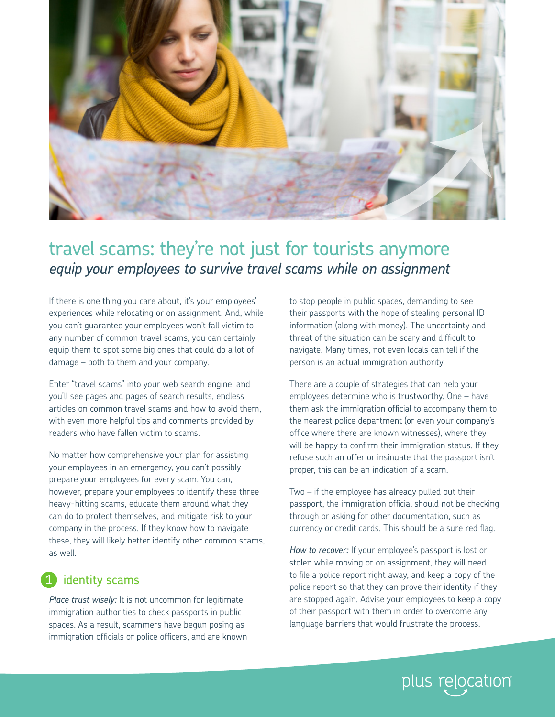

## travel scams: they're not just for tourists anymore *equip your employees to survive travel scams while on assignment*

If there is one thing you care about, it's your employees' experiences while relocating or on assignment. And, while you can't guarantee your employees won't fall victim to any number of common travel scams, you can certainly equip them to spot some big ones that could do a lot of damage – both to them and your company.

Enter "travel scams" into your web search engine, and you'll see pages and pages of search results, endless articles on common travel scams and how to avoid them, with even more helpful tips and comments provided by readers who have fallen victim to scams.

No matter how comprehensive your plan for assisting your employees in an emergency, you can't possibly prepare your employees for every scam. You can, however, prepare your employees to identify these three heavy-hitting scams, educate them around what they can do to protect themselves, and mitigate risk to your company in the process. If they know how to navigate these, they will likely better identify other common scams, as well.

## identity scams 1

*Place trust wisely:* It is not uncommon for legitimate immigration authorities to check passports in public spaces. As a result, scammers have begun posing as immigration officials or police officers, and are known

to stop people in public spaces, demanding to see their passports with the hope of stealing personal ID information (along with money). The uncertainty and threat of the situation can be scary and difficult to navigate. Many times, not even locals can tell if the person is an actual immigration authority.

There are a couple of strategies that can help your employees determine who is trustworthy. One – have them ask the immigration official to accompany them to the nearest police department (or even your company's office where there are known witnesses), where they will be happy to confirm their immigration status. If they refuse such an offer or insinuate that the passport isn't proper, this can be an indication of a scam.

Two – if the employee has already pulled out their passport, the immigration official should not be checking through or asking for other documentation, such as currency or credit cards. This should be a sure red flag.

*How to recover:* If your employee's passport is lost or stolen while moving or on assignment, they will need to file a police report right away, and keep a copy of the police report so that they can prove their identity if they are stopped again. Advise your employees to keep a copy of their passport with them in order to overcome any language barriers that would frustrate the process.